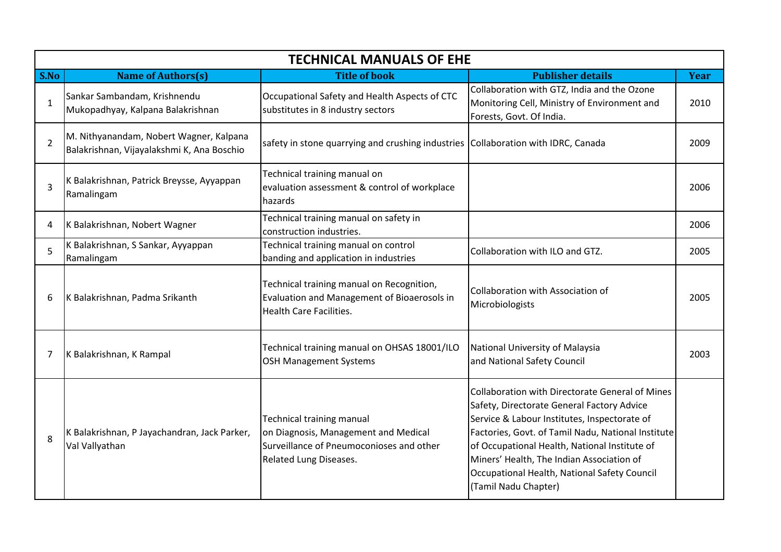| <b>TECHNICAL MANUALS OF EHE</b> |                                                                                       |                                                                                                                                                |                                                                                                                                                                                                                                                                                                                                                                                  |             |  |  |  |
|---------------------------------|---------------------------------------------------------------------------------------|------------------------------------------------------------------------------------------------------------------------------------------------|----------------------------------------------------------------------------------------------------------------------------------------------------------------------------------------------------------------------------------------------------------------------------------------------------------------------------------------------------------------------------------|-------------|--|--|--|
| S.No                            | <b>Name of Authors(s)</b>                                                             | <b>Title of book</b>                                                                                                                           | <b>Publisher details</b>                                                                                                                                                                                                                                                                                                                                                         | <b>Year</b> |  |  |  |
| 1                               | Sankar Sambandam, Krishnendu<br>Mukopadhyay, Kalpana Balakrishnan                     | Occupational Safety and Health Aspects of CTC<br>substitutes in 8 industry sectors                                                             | Collaboration with GTZ, India and the Ozone<br>Monitoring Cell, Ministry of Environment and<br>Forests, Govt. Of India.                                                                                                                                                                                                                                                          | 2010        |  |  |  |
| 2                               | M. Nithyanandam, Nobert Wagner, Kalpana<br>Balakrishnan, Vijayalakshmi K, Ana Boschio | safety in stone quarrying and crushing industries Collaboration with IDRC, Canada                                                              |                                                                                                                                                                                                                                                                                                                                                                                  | 2009        |  |  |  |
| 3                               | K Balakrishnan, Patrick Breysse, Ayyappan<br>Ramalingam                               | Technical training manual on<br>evaluation assessment & control of workplace<br>hazards                                                        |                                                                                                                                                                                                                                                                                                                                                                                  | 2006        |  |  |  |
| 4                               | K Balakrishnan, Nobert Wagner                                                         | Technical training manual on safety in<br>construction industries.                                                                             |                                                                                                                                                                                                                                                                                                                                                                                  | 2006        |  |  |  |
| 5                               | K Balakrishnan, S Sankar, Ayyappan<br>Ramalingam                                      | Technical training manual on control<br>banding and application in industries                                                                  | Collaboration with ILO and GTZ.                                                                                                                                                                                                                                                                                                                                                  | 2005        |  |  |  |
| 6                               | K Balakrishnan, Padma Srikanth                                                        | Technical training manual on Recognition,<br>Evaluation and Management of Bioaerosols in<br><b>Health Care Facilities.</b>                     | Collaboration with Association of<br>Microbiologists                                                                                                                                                                                                                                                                                                                             | 2005        |  |  |  |
| 7                               | K Balakrishnan, K Rampal                                                              | Technical training manual on OHSAS 18001/ILO<br><b>OSH Management Systems</b>                                                                  | National University of Malaysia<br>and National Safety Council                                                                                                                                                                                                                                                                                                                   | 2003        |  |  |  |
| 8                               | K Balakrishnan, P Jayachandran, Jack Parker,<br>Val Vallyathan                        | <b>Technical training manual</b><br>on Diagnosis, Management and Medical<br>Surveillance of Pneumoconioses and other<br>Related Lung Diseases. | <b>Collaboration with Directorate General of Mines</b><br>Safety, Directorate General Factory Advice<br>Service & Labour Institutes, Inspectorate of<br>Factories, Govt. of Tamil Nadu, National Institute<br>of Occupational Health, National Institute of<br>Miners' Health, The Indian Association of<br>Occupational Health, National Safety Council<br>(Tamil Nadu Chapter) |             |  |  |  |